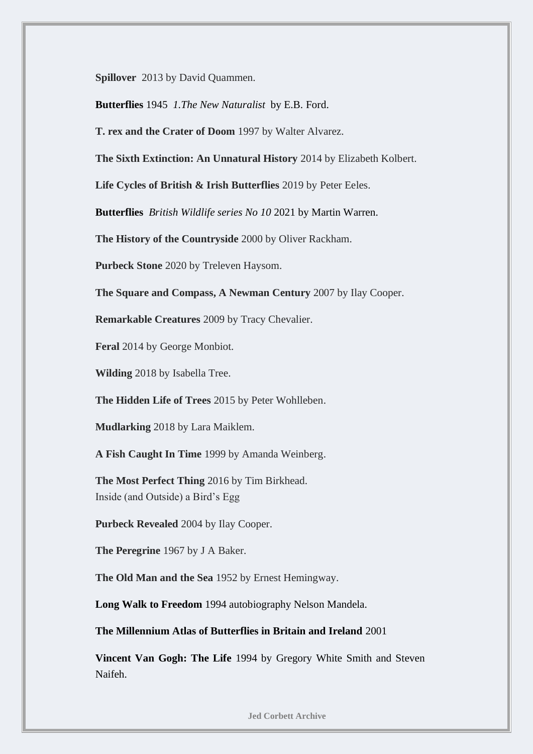**Spillover** 2013 by David Quammen.

**Butterflies** 1945 *1.The New Naturalist* by E.B. Ford.

**T. rex and the Crater of Doom** 1997 by Walter Alvarez.

**The Sixth Extinction: An Unnatural History** 2014 by Elizabeth Kolbert.

**Life Cycles of British & Irish Butterflies** 2019 by Peter Eeles.

**Butterflies** *British Wildlife series No 10* 2021 by Martin Warren.

**The History of the Countryside** 2000 by Oliver Rackham.

**Purbeck Stone** 2020 by Treleven Haysom.

**The Square and Compass, A Newman Century** 2007 by Ilay Cooper.

**Remarkable Creatures** 2009 by Tracy Chevalier.

**Feral** 2014 by George Monbiot.

**Wilding** 2018 by Isabella Tree.

**The Hidden Life of Trees** 2015 by Peter Wohlleben.

**Mudlarking** 2018 by Lara Maiklem.

**A Fish Caught In Time** 1999 by Amanda Weinberg.

**The Most Perfect Thing** 2016 by Tim Birkhead. Inside (and Outside) a Bird's Egg

**Purbeck Revealed** 2004 by Ilay Cooper.

**The Peregrine** 1967 by J A Baker.

**The Old Man and the Sea** 1952 by Ernest Hemingway.

**Long Walk to Freedom** 1994 autobiography Nelson Mandela.

**The Millennium Atlas of Butterflies in Britain and Ireland** 2001

**Vincent Van Gogh: The Life** 1994 by Gregory White Smith and Steven Naifeh.

 **Jed Corbett Archive**